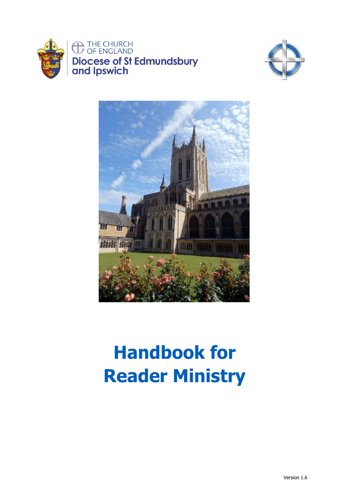





# **Handbook for Reader Ministry**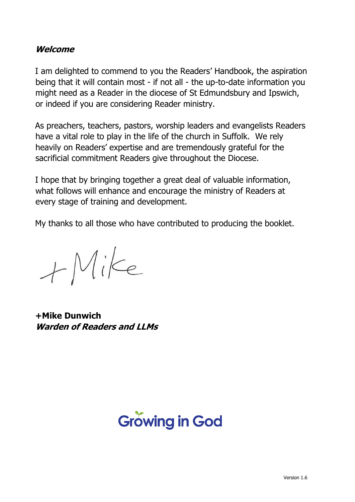## **Welcome**

I am delighted to commend to you the Readers' Handbook, the aspiration being that it will contain most - if not all - the up-to-date information you might need as a Reader in the diocese of St Edmundsbury and Ipswich, or indeed if you are considering Reader ministry.

As preachers, teachers, pastors, worship leaders and evangelists Readers have a vital role to play in the life of the church in Suffolk. We rely heavily on Readers' expertise and are tremendously grateful for the sacrificial commitment Readers give throughout the Diocese.

I hope that by bringing together a great deal of valuable information, what follows will enhance and encourage the ministry of Readers at every stage of training and development.

My thanks to all those who have contributed to producing the booklet.

 $+Mike$ 

**+Mike Dunwich Warden of Readers and LLMs**

# **Growing in God**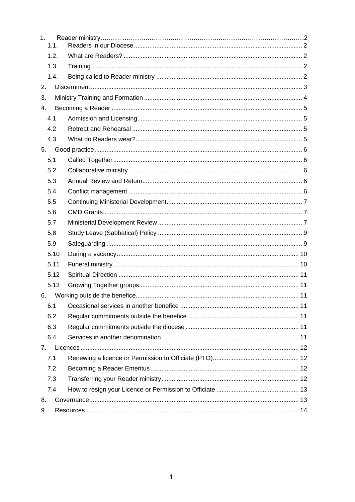| 1.               | 1.1. |  |  |  |
|------------------|------|--|--|--|
|                  | 1.2. |  |  |  |
|                  | 1.3. |  |  |  |
|                  | 1.4. |  |  |  |
| 2.               |      |  |  |  |
| 3.               |      |  |  |  |
| $\overline{4}$ . |      |  |  |  |
| 4.1              |      |  |  |  |
|                  | 4.2  |  |  |  |
|                  | 4.3  |  |  |  |
| 5.               |      |  |  |  |
| 5.1              |      |  |  |  |
|                  | 5.2  |  |  |  |
|                  | 5.3  |  |  |  |
|                  | 5.4  |  |  |  |
|                  | 5.5  |  |  |  |
|                  | 5.6  |  |  |  |
|                  | 5.7  |  |  |  |
|                  | 5.8  |  |  |  |
|                  | 5.9  |  |  |  |
|                  | 5.10 |  |  |  |
|                  | 5.11 |  |  |  |
|                  | 5.12 |  |  |  |
|                  | 5.13 |  |  |  |
| 6.               |      |  |  |  |
| 6.1              |      |  |  |  |
|                  | 6.2  |  |  |  |
|                  | 6.3  |  |  |  |
|                  | 6.4  |  |  |  |
| 7.               |      |  |  |  |
|                  | 7.1  |  |  |  |
| 7.2              |      |  |  |  |
| 7.3              |      |  |  |  |
|                  | 7.4  |  |  |  |
| 8.               |      |  |  |  |
| 9.               |      |  |  |  |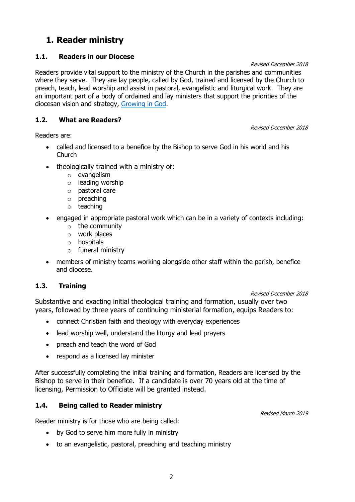# <span id="page-3-0"></span>**1. Reader ministry**

## <span id="page-3-1"></span>**1.1. Readers in our Diocese**

Revised December 2018

Readers provide vital support to the ministry of the Church in the parishes and communities where they serve. They are lay people, called by God, trained and licensed by the Church to preach, teach, lead worship and assist in pastoral, evangelistic and liturgical work. They are an important part of a body of ordained and lay ministers that support the priorities of the diocesan vision and strategy, [Growing in God.](http://www.cofesuffolk.org/uploads/Vision_and_Strategy_Document.pdf)

## <span id="page-3-2"></span>**1.2. What are Readers?**

Revised December 2018

Readers are:

- called and licensed to a benefice by the Bishop to serve God in his world and his Church
- theologically trained with a ministry of:
	- o evangelism
	- $\circ$  leading worship
	- o pastoral care
	- o preaching
	- o teaching
- engaged in appropriate pastoral work which can be in a variety of contexts including:
	- o the community
	- o work places
	- o hospitals
	- o funeral ministry
- members of ministry teams working alongside other staff within the parish, benefice and diocese.

## <span id="page-3-3"></span>**1.3. Training**

#### Revised December 2018

Revised March 2019

Substantive and exacting initial theological training and formation, usually over two years, followed by three years of continuing ministerial formation, equips Readers to:

- connect Christian faith and theology with everyday experiences
- lead worship well, understand the liturgy and lead prayers
- preach and teach the word of God
- respond as a licensed lay minister

After successfully completing the initial training and formation, Readers are licensed by the Bishop to serve in their benefice. If a candidate is over 70 years old at the time of licensing, Permission to Officiate will be granted instead.

## <span id="page-3-4"></span>**1.4. Being called to Reader ministry**

Reader ministry is for those who are being called:

- by God to serve him more fully in ministry
- to an evangelistic, pastoral, preaching and teaching ministry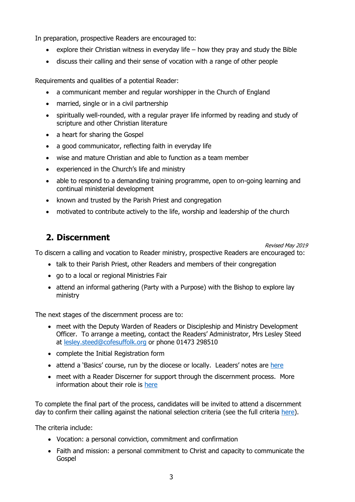In preparation, prospective Readers are encouraged to:

- explore their Christian witness in everyday life  $-$  how they pray and study the Bible
- discuss their calling and their sense of vocation with a range of other people

Requirements and qualities of a potential Reader:

- a communicant member and regular worshipper in the Church of England
- married, single or in a civil partnership
- spiritually well-rounded, with a regular prayer life informed by reading and study of scripture and other Christian literature
- a heart for sharing the Gospel
- a good communicator, reflecting faith in everyday life
- wise and mature Christian and able to function as a team member
- experienced in the Church's life and ministry
- able to respond to a demanding training programme, open to on-going learning and continual ministerial development
- known and trusted by the Parish Priest and congregation
- motivated to contribute actively to the life, worship and leadership of the church

## <span id="page-4-0"></span>**2. Discernment**

Revised May 2019

To discern a calling and vocation to Reader ministry, prospective Readers are encouraged to:

- talk to their Parish Priest, other Readers and members of their congregation
- go to a local or regional Ministries Fair
- attend an informal gathering (Party with a Purpose) with the Bishop to explore lay ministry

The next stages of the discernment process are to:

- meet with the Deputy Warden of Readers or Discipleship and Ministry Development Officer. To arrange a meeting, contact the Readers' Administrator, Mrs Lesley Steed at [lesley.steed@cofesuffolk.org](mailto:lesley.steed@cofesuffolk.org) or phone 01473 298510
- complete the Initial Registration form
- attend a 'Basics' course, run by the diocese or locally. Leaders' notes are [here](http://www.cofesuffolk.org/uploads/Basics-v.2_.pdf)
- meet with a Reader Discerner for support through the discernment process. More information about their role is [here](http://www.cofesuffolk.org/uploads/Reader_Discerner_Role_and_Function.pdf)

To complete the final part of the process, candidates will be invited to attend a discernment day to confirm their calling against the national selection criteria (see the full criteria [here\)](https://readers.cofe.anglican.org/u_d_lib_pub/p264.pdf).

The criteria include:

- Vocation: a personal conviction, commitment and confirmation
- Faith and mission: a personal commitment to Christ and capacity to communicate the Gospel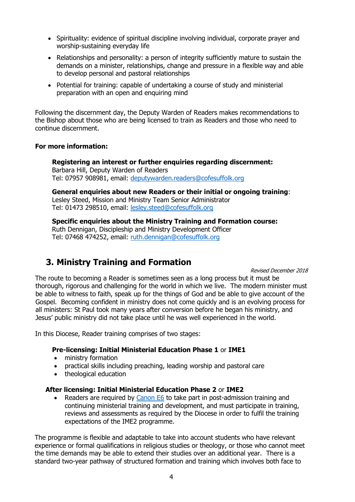- Spirituality: evidence of spiritual discipline involving individual, corporate prayer and worship-sustaining everyday life
- Relationships and personality: a person of integrity sufficiently mature to sustain the demands on a minister, relationships, change and pressure in a flexible way and able to develop personal and pastoral relationships
- Potential for training: capable of undertaking a course of study and ministerial preparation with an open and enquiring mind

Following the discernment day, the Deputy Warden of Readers makes recommendations to the Bishop about those who are being licensed to train as Readers and those who need to continue discernment.

#### **For more information:**

**Registering an interest or further enquiries regarding discernment:**  Barbara Hill, Deputy Warden of Readers Tel: 07957 908981, email: [deputywarden.readers@cofesuffolk.org](mailto:deputywarden.readers@cofesuffolk.org) 

**General enquiries about new Readers or their initial or ongoing training**: Lesley Steed, Mission and Ministry Team Senior Administrator Tel: 01473 298510, email: [lesley.steed@cofesuffolk.org](mailto:lesley.steed@cofesuffolk.org)

**Specific enquiries about the Ministry Training and Formation course:** Ruth Dennigan, Discipleship and Ministry Development Officer Tel: 07468 474252, email: [ruth.dennigan@cofesuffolk.org](mailto:ruth.dennigan@cofesuffolk.org)

# <span id="page-5-0"></span>**3. Ministry Training and Formation**

Revised December 2018

The route to becoming a Reader is sometimes seen as a long process but it must be thorough, rigorous and challenging for the world in which we live. The modern minister must be able to witness to faith, speak up for the things of God and be able to give account of the Gospel. Becoming confident in ministry does not come quickly and is an evolving process for all ministers: St Paul took many years after conversion before he began his ministry, and Jesus' public ministry did not take place until he was well experienced in the world.

In this Diocese, Reader training comprises of two stages:

#### **Pre-licensing: Initial Ministerial Education Phase 1** or **IME1**

- ministry formation
- practical skills including preaching, leading worship and pastoral care
- theological education

#### **After licensing: Initial Ministerial Education Phase 2** or **IME2**

• Readers are required by [Canon E6](https://www.churchofengland.org/more/policy-and-thinking/canons-church-england/section-e#b99) to take part in post-admission training and continuing ministerial training and development, and must participate in training, reviews and assessments as required by the Diocese in order to fulfil the training expectations of the IME2 programme.

The programme is flexible and adaptable to take into account students who have relevant experience or formal qualifications in religious studies or theology, or those who cannot meet the time demands may be able to extend their studies over an additional year. There is a standard two-year pathway of structured formation and training which involves both face to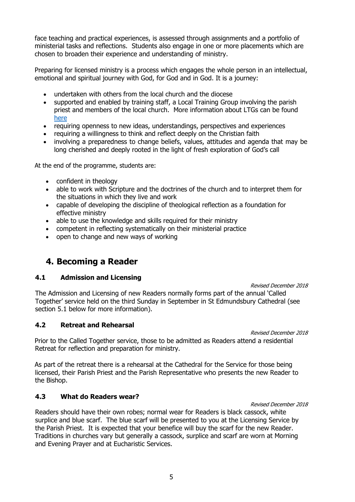face teaching and practical experiences, is assessed through assignments and a portfolio of ministerial tasks and reflections. Students also engage in one or more placements which are chosen to broaden their experience and understanding of ministry.

Preparing for licensed ministry is a process which engages the whole person in an intellectual, emotional and spiritual journey with God, for God and in God. It is a journey:

- undertaken with others from the local church and the diocese
- supported and enabled by training staff, a Local Training Group involving the parish priest and members of the local church. More information about LTGs can be found [here](http://www.cofesuffolk.org/uploads/LTG_Information_for_Reader_Handbook_-_August_2018.pdf)
- requiring openness to new ideas, understandings, perspectives and experiences
- requiring a willingness to think and reflect deeply on the Christian faith
- involving a preparedness to change beliefs, values, attitudes and agenda that may be long cherished and deeply rooted in the light of fresh exploration of God's call

At the end of the programme, students are:

- confident in theology
- able to work with Scripture and the doctrines of the church and to interpret them for the situations in which they live and work
- capable of developing the discipline of theological reflection as a foundation for effective ministry
- able to use the knowledge and skills required for their ministry
- competent in reflecting systematically on their ministerial practice
- open to change and new ways of working

# <span id="page-6-0"></span>**4. Becoming a Reader**

#### <span id="page-6-1"></span>**4.1 Admission and Licensing**

#### Revised December 2018

The Admission and Licensing of new Readers normally forms part of the annual 'Called Together' service held on the third Sunday in September in St Edmundsbury Cathedral (see section 5.1 below for more information).

#### <span id="page-6-2"></span>**4.2 Retreat and Rehearsal**

Revised December 2018

Revised December 2018

Prior to the Called Together service, those to be admitted as Readers attend a residential Retreat for reflection and preparation for ministry.

As part of the retreat there is a rehearsal at the Cathedral for the Service for those being licensed, their Parish Priest and the Parish Representative who presents the new Reader to the Bishop.

#### <span id="page-6-3"></span>**4.3 What do Readers wear?**

Readers should have their own robes; normal wear for Readers is black cassock, white surplice and blue scarf. The blue scarf will be presented to you at the Licensing Service by the Parish Priest. It is expected that your benefice will buy the scarf for the new Reader. Traditions in churches vary but generally a cassock, surplice and scarf are worn at Morning and Evening Prayer and at Eucharistic Services.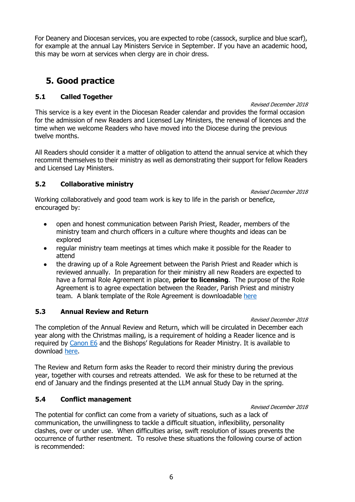For Deanery and Diocesan services, you are expected to robe (cassock, surplice and blue scarf), for example at the annual Lay Ministers Service in September. If you have an academic hood, this may be worn at services when clergy are in choir dress.

# <span id="page-7-0"></span>**5. Good practice**

## <span id="page-7-1"></span>**5.1 Called Together**

#### Revised December 2018

This service is a key event in the Diocesan Reader calendar and provides the formal occasion for the admission of new Readers and Licensed Lay Ministers, the renewal of licences and the time when we welcome Readers who have moved into the Diocese during the previous twelve months.

All Readers should consider it a matter of obligation to attend the annual service at which they recommit themselves to their ministry as well as demonstrating their support for fellow Readers and Licensed Lay Ministers.

## <span id="page-7-2"></span>**5.2 Collaborative ministry**

Revised December 2018

Working collaboratively and good team work is key to life in the parish or benefice, encouraged by:

- open and honest communication between Parish Priest, Reader, members of the ministry team and church officers in a culture where thoughts and ideas can be explored
- regular ministry team meetings at times which make it possible for the Reader to attend
- the drawing up of a Role Agreement between the Parish Priest and Reader which is reviewed annually. In preparation for their ministry all new Readers are expected to have a formal Role Agreement in place, **prior to licensing**. The purpose of the Role Agreement is to agree expectation between the Reader, Parish Priest and ministry team. A blank template of the Role Agreement is downloadable [here](http://www.cofesuffolk.org/uploads/2018_Role_Agreement_Form.docx)

## <span id="page-7-3"></span>**5.3 Annual Review and Return**

#### Revised December 2018

The completion of the Annual Review and Return, which will be circulated in December each year along with the Christmas mailing, is a requirement of holding a Reader licence and is required by [Canon E6](https://www.churchofengland.org/more/policy-and-thinking/canons-church-england/section-e#b99) and the Bishops' Regulations for Reader Ministry. It is available to download [here.](http://www.cofesuffolk.org/exploring-vocation/readers?/ministries/readers)

The Review and Return form asks the Reader to record their ministry during the previous year, together with courses and retreats attended. We ask for these to be returned at the end of January and the findings presented at the LLM annual Study Day in the spring.

## <span id="page-7-4"></span>**5.4 Conflict management**

#### Revised December 2018

The potential for conflict can come from a variety of situations, such as a lack of communication, the unwillingness to tackle a difficult situation, inflexibility, personality clashes, over or under use. When difficulties arise, swift resolution of issues prevents the occurrence of further resentment. To resolve these situations the following course of action is recommended: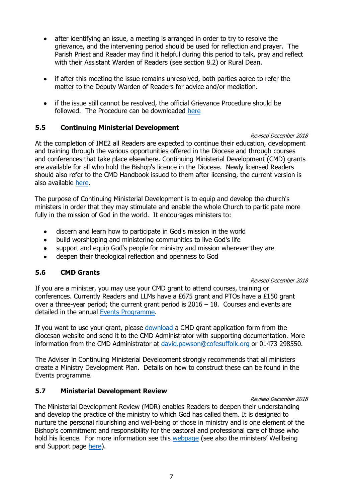- after identifying an issue, a meeting is arranged in order to try to resolve the grievance, and the intervening period should be used for reflection and prayer. The Parish Priest and Reader may find it helpful during this period to talk, pray and reflect with their Assistant Warden of Readers (see section 8.2) or Rural Dean.
- if after this meeting the issue remains unresolved, both parties agree to refer the matter to the Deputy Warden of Readers for advice and/or mediation.
- if the issue still cannot be resolved, the official Grievance Procedure should be followed. The Procedure can be downloaded [here](http://www.cofesuffolk.org/uploads/grievance_procedure_20051.pdf)

#### <span id="page-8-0"></span>**5.5 Continuing Ministerial Development**

Revised December 2018 At the completion of IME2 all Readers are expected to continue their education, development and training through the various opportunities offered in the Diocese and through courses and conferences that take place elsewhere. Continuing Ministerial Development (CMD) grants are available for all who hold the Bishop's licence in the Diocese. Newly licensed Readers should also refer to the CMD Handbook issued to them after licensing, the current version is also available [here.](http://www.cofesuffolk.org/ministry-development-support/ime2-cmd)

The purpose of Continuing Ministerial Development is to equip and develop the church's ministers in order that they may stimulate and enable the whole Church to participate more fully in the mission of God in the world. It encourages ministers to:

- discern and learn how to participate in God's mission in the world
- build worshipping and ministering communities to live God's life
- support and equip God's people for ministry and mission wherever they are
- deepen their theological reflection and openness to God

## <span id="page-8-1"></span>**5.6 CMD Grants**

#### Revised December 2018

If you are a minister, you may use your CMD grant to attend courses, training or conferences. Currently Readers and LLMs have a £675 grant and PTOs have a £150 grant over a three-year period; the current grant period is  $2016 - 18$ . Courses and events are detailed in the annual [Events Programme.](http://www.cofesuffolk.org/events)

If you want to use your grant, please [download](http://www.cofesuffolk.org/ministry-development-support/ime2-cmd) a CMD grant application form from the diocesan website and send it to the CMD Administrator with supporting documentation. More information from the CMD Administrator at [david.pawson@cofesuffolk.org](mailto:david.pawson@cofesuffolk.org) or 01473 298550.

The Adviser in Continuing Ministerial Development strongly recommends that all ministers create a Ministry Development Plan. Details on how to construct these can be found in the Events programme.

## <span id="page-8-2"></span>**5.7 Ministerial Development Review**

#### Revised December 2018

The Ministerial Development Review (MDR) enables Readers to deepen their understanding and develop the practice of the ministry to which God has called them. It is designed to nurture the personal flourishing and well-being of those in ministry and is one element of the Bishop's commitment and responsibility for the pastoral and professional care of those who hold his licence. For more information see this [webpage](http://www.cofesuffolk.org/well-being-and-support/mdr) (see also the ministers' Wellbeing and Support page [here\)](http://www.cofesuffolk.org/ministry-development-support/well-being-and-support).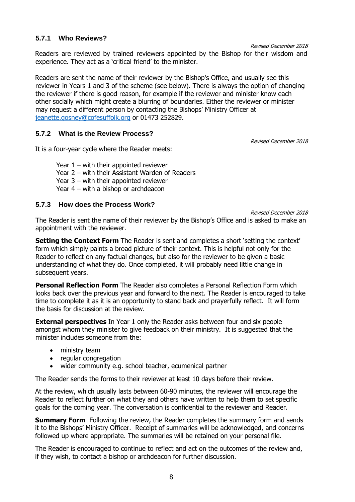#### **5.7.1 Who Reviews?**

Revised December 2018

Readers are reviewed by trained reviewers appointed by the Bishop for their wisdom and experience. They act as a 'critical friend' to the minister.

Readers are sent the name of their reviewer by the Bishop's Office, and usually see this reviewer in Years 1 and 3 of the scheme (see below). There is always the option of changing the reviewer if there is good reason, for example if the reviewer and minister know each other socially which might create a blurring of boundaries. Either the reviewer or minister may request a different person by contacting the Bishops' Ministry Officer at [jeanette.gosney@cofesuffolk.org](mailto:jeanette.gosney@cofesuffolk.org) or 01473 252829.

## **5.7.2 What is the Review Process?**

Revised December 2018

It is a four-year cycle where the Reader meets:

Year  $1$  – with their appointed reviewer Year 2 – with their Assistant Warden of Readers Year 3 – with their appointed reviewer Year 4 – with a bishop or archdeacon

#### **5.7.3 How does the Process Work?**

Revised December 2018

The Reader is sent the name of their reviewer by the Bishop's Office and is asked to make an appointment with the reviewer.

**Setting the Context Form** The Reader is sent and completes a short 'setting the context' form which simply paints a broad picture of their context. This is helpful not only for the Reader to reflect on any factual changes, but also for the reviewer to be given a basic understanding of what they do. Once completed, it will probably need little change in subsequent years.

**Personal Reflection Form** The Reader also completes a Personal Reflection Form which looks back over the previous year and forward to the next. The Reader is encouraged to take time to complete it as it is an opportunity to stand back and prayerfully reflect. It will form the basis for discussion at the review.

**External perspectives** In Year 1 only the Reader asks between four and six people amongst whom they minister to give feedback on their ministry. It is suggested that the minister includes someone from the:

- ministry team
- regular congregation
- wider community e.g. school teacher, ecumenical partner

The Reader sends the forms to their reviewer at least 10 days before their review.

At the review, which usually lasts between 60-90 minutes, the reviewer will encourage the Reader to reflect further on what they and others have written to help them to set specific goals for the coming year. The conversation is confidential to the reviewer and Reader.

**Summary Form** Following the review, the Reader completes the summary form and sends it to the Bishops' Ministry Officer. Receipt of summaries will be acknowledged, and concerns followed up where appropriate. The summaries will be retained on your personal file.

The Reader is encouraged to continue to reflect and act on the outcomes of the review and, if they wish, to contact a bishop or archdeacon for further discussion.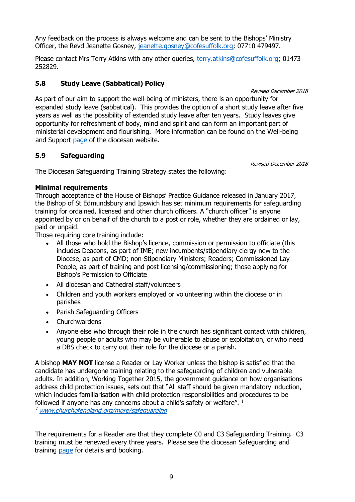Any feedback on the process is always welcome and can be sent to the Bishops' Ministry Officer, the Revd Jeanette Gosney, [jeanette.gosney@cofesuffolk.org;](mailto:jeanette.gosney@cofesuffolk.org) 07710 479497.

Please contact Mrs Terry Atkins with any other queries, [terry.atkins@cofesuffolk.org;](mailto:terry.atkins@cofesuffolk.org) 01473 252829.

## <span id="page-10-0"></span>**5.8 Study Leave (Sabbatical) Policy**

#### Revised December 2018

Revised December 2018

As part of our aim to support the well-being of ministers, there is an opportunity for expanded study leave (sabbatical). This provides the option of a short study leave after five years as well as the possibility of extended study leave after ten years. Study leaves give opportunity for refreshment of body, mind and spirit and can form an important part of ministerial development and flourishing. More information can be found on the Well-being and Support [page](http://www.cofesuffolk.org/ministry-development-support/well-being-and-support) of the diocesan website.

## <span id="page-10-1"></span>**5.9 Safeguarding**

The Diocesan Safeguarding Training Strategy states the following:

## **Minimal requirements**

Through acceptance of the House of Bishops' Practice Guidance released in January 2017, the Bishop of St Edmundsbury and Ipswich has set minimum requirements for safeguarding training for ordained, licensed and other church officers. A "church officer" is anyone appointed by or on behalf of the church to a post or role, whether they are ordained or lay, paid or unpaid.

Those requiring core training include:

- All those who hold the Bishop's licence, commission or permission to officiate (this includes Deacons, as part of IME; new incumbents/stipendiary clergy new to the Diocese, as part of CMD; non-Stipendiary Ministers; Readers; Commissioned Lay People, as part of training and post licensing/commissioning; those applying for Bishop's Permission to Officiate
- All diocesan and Cathedral staff/volunteers
- Children and youth workers employed or volunteering within the diocese or in parishes
- Parish Safeguarding Officers
- **Churchwardens**
- Anyone else who through their role in the church has significant contact with children, young people or adults who may be vulnerable to abuse or exploitation, or who need a DBS check to carry out their role for the diocese or a parish.

A bishop **MAY NOT** license a Reader or Lay Worker unless the bishop is satisfied that the candidate has undergone training relating to the safeguarding of children and vulnerable adults. In addition, Working Together 2015, the government guidance on how organisations address child protection issues, sets out that "All staff should be given mandatory induction, which includes familiarisation with child protection responsibilities and procedures to be followed if anyone has any concerns about a child's safety or welfare". <sup>1</sup>

<sup>1</sup> [www.churchofengland.org/more/safeguarding](http://www.churchofengland.org/more/safeguarding)

The requirements for a Reader are that they complete C0 and C3 Safeguarding Training. C3 training must be renewed every three years. Please see the diocesan Safeguarding and training [page](http://www.cofesuffolk.org/training) for details and booking.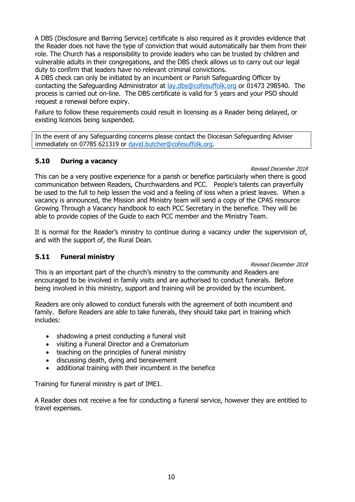A DBS (Disclosure and Barring Service) certificate is also required as it provides evidence that the Reader does not have the type of conviction that would automatically bar them from their role. The Church has a responsibility to provide leaders who can be trusted by children and vulnerable adults in their congregations, and the DBS check allows us to carry out our legal duty to confirm that leaders have no relevant criminal convictions.

A DBS check can only be initiated by an incumbent or Parish Safeguarding Officer by contacting the Safeguarding Administrator at [lay.dbs@cofesuffolk.org](mailto:lay.dbs@cofesuffolk.org) or 01473 298540. The process is carried out on-line. The DBS certificate is valid for 5 years and your PSO should request a renewal before expiry.

Failure to follow these requirements could result in licensing as a Reader being delayed, or existing licences being suspended.

In the event of any Safeguarding concerns please contact the Diocesan Safeguarding Adviser immediately on 07785 621319 or [david.butcher@cofesuffolk.org.](mailto:david.butcher@cofesuffolk.org)

## <span id="page-11-0"></span>**5.10 During a vacancy**

Revised December 2018

This can be a very positive experience for a parish or benefice particularly when there is good communication between Readers, Churchwardens and PCC. People's talents can prayerfully be used to the full to help lessen the void and a feeling of loss when a priest leaves. When a vacancy is announced, the Mission and Ministry team will send a copy of the CPAS resource Growing Through a Vacancy handbook to each PCC Secretary in the benefice. They will be able to provide copies of the Guide to each PCC member and the Ministry Team.

It is normal for the Reader's ministry to continue during a vacancy under the supervision of, and with the support of, the Rural Dean.

## <span id="page-11-1"></span>**5.11 Funeral ministry**

#### Revised December 2018

This is an important part of the church's ministry to the community and Readers are encouraged to be involved in family visits and are authorised to conduct funerals. Before being involved in this ministry, support and training will be provided by the incumbent.

Readers are only allowed to conduct funerals with the agreement of both incumbent and family. Before Readers are able to take funerals, they should take part in training which includes:

- shadowing a priest conducting a funeral visit
- visiting a Funeral Director and a Crematorium
- teaching on the principles of funeral ministry
- discussing death, dying and bereavement
- additional training with their incumbent in the benefice

Training for funeral ministry is part of IME1.

A Reader does not receive a fee for conducting a funeral service, however they are entitled to travel expenses.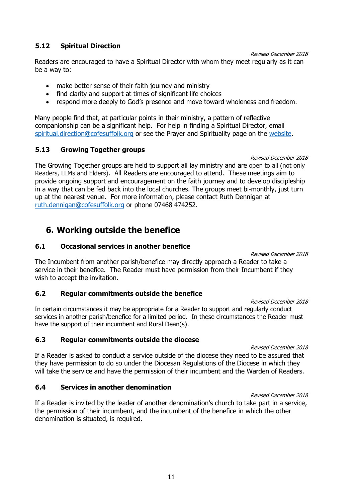#### <span id="page-12-0"></span>**5.12 Spiritual Direction**

Revised December 2018

Readers are encouraged to have a Spiritual Director with whom they meet regularly as it can be a way to:

- make better sense of their faith journey and ministry
- find clarity and support at times of significant life choices
- respond more deeply to God's presence and move toward wholeness and freedom.

Many people find that, at particular points in their ministry, a pattern of reflective companionship can be a significant help. For help in finding a Spiritual Director, email [spiritual.direction@cofesuffolk.org](mailto:spiritual.direction@cofesuffolk.org) or see the Prayer and Spirituality page on the [website.](http://www.cofesuffolk.org/daily-prayer/prayer-and-spirituality?/prayer-and-spirituality#/)

#### <span id="page-12-1"></span>**5.13 Growing Together groups**

#### Revised December 2018

The Growing Together groups are held to support all lay ministry and are open to all (not only Readers, LLMs and Elders). All Readers are encouraged to attend. These meetings aim to provide ongoing support and encouragement on the faith journey and to develop discipleship in a way that can be fed back into the local churches. The groups meet bi-monthly, just turn up at the nearest venue. For more information, please contact Ruth Dennigan at [ruth.dennigan@cofesuffolk.org](mailto:ruth.dennigan@cofesuffolk.org) or phone 07468 474252.

# <span id="page-12-2"></span>**6. Working outside the benefice**

#### <span id="page-12-3"></span>**6.1 Occasional services in another benefice**

Revised December 2018

The Incumbent from another parish/benefice may directly approach a Reader to take a service in their benefice. The Reader must have permission from their Incumbent if they wish to accept the invitation.

## <span id="page-12-4"></span>**6.2 Regular commitments outside the benefice**

Revised December 2018 In certain circumstances it may be appropriate for a Reader to support and regularly conduct services in another parish/benefice for a limited period. In these circumstances the Reader must have the support of their incumbent and Rural Dean(s).

## <span id="page-12-5"></span>**6.3 Regular commitments outside the diocese**

Revised December 2018

If a Reader is asked to conduct a service outside of the diocese they need to be assured that they have permission to do so under the Diocesan Regulations of the Diocese in which they will take the service and have the permission of their incumbent and the Warden of Readers.

## <span id="page-12-6"></span>**6.4 Services in another denomination**

Revised December 2018 If a Reader is invited by the leader of another denomination's church to take part in a service, the permission of their incumbent, and the incumbent of the benefice in which the other denomination is situated, is required.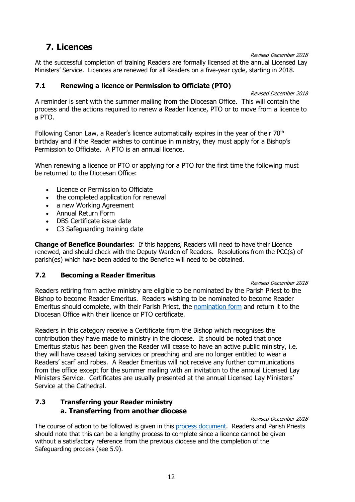# <span id="page-13-0"></span>**7. Licences**

Revised December 2018

At the successful completion of training Readers are formally licensed at the annual Licensed Lay Ministers' Service. Licences are renewed for all Readers on a five-year cycle, starting in 2018.

#### <span id="page-13-1"></span>**7.1 Renewing a licence or Permission to Officiate (PTO)**

Revised December 2018

A reminder is sent with the summer mailing from the Diocesan Office. This will contain the process and the actions required to renew a Reader licence, PTO or to move from a licence to a PTO.

Following Canon Law, a Reader's licence automatically expires in the year of their 70<sup>th</sup> birthday and if the Reader wishes to continue in ministry, they must apply for a Bishop's Permission to Officiate. A PTO is an annual licence.

When renewing a licence or PTO or applying for a PTO for the first time the following must be returned to the Diocesan Office:

- Licence or Permission to Officiate
- the completed application for renewal
- a new Working Agreement
- Annual Return Form
- DBS Certificate issue date
- C3 Safeguarding training date

**Change of Benefice Boundaries**: If this happens, Readers will need to have their Licence renewed, and should check with the Deputy Warden of Readers. Resolutions from the PCC(s) of parish(es) which have been added to the Benefice will need to be obtained.

## <span id="page-13-2"></span>**7.2 Becoming a Reader Emeritus**

#### Revised December 2018

Readers retiring from active ministry are eligible to be nominated by the Parish Priest to the Bishop to become Reader Emeritus. Readers wishing to be nominated to become Reader Emeritus should complete, with their Parish Priest, the [nomination form](http://www.cofesuffolk.org/uploads/2018_Reader_Emeritus_Nomination_Form1.docx) and return it to the Diocesan Office with their licence or PTO certificate.

Readers in this category receive a Certificate from the Bishop which recognises the contribution they have made to ministry in the diocese. It should be noted that once Emeritus status has been given the Reader will cease to have an active public ministry, i.e. they will have ceased taking services or preaching and are no longer entitled to wear a Readers' scarf and robes. A Reader Emeritus will not receive any further communications from the office except for the summer mailing with an invitation to the annual Licensed Lay Ministers Service. Certificates are usually presented at the annual Licensed Lay Ministers' Service at the Cathedral.

## <span id="page-13-3"></span>**7.3 Transferring your Reader ministry a. Transferring from another diocese**

Revised December 2018 The course of action to be followed is given in this [process document.](http://www.cofesuffolk.org/uploads/Diocese_transfer_pro-forma.docx) Readers and Parish Priests should note that this can be a lengthy process to complete since a licence cannot be given without a satisfactory reference from the previous diocese and the completion of the Safeguarding process (see 5.9).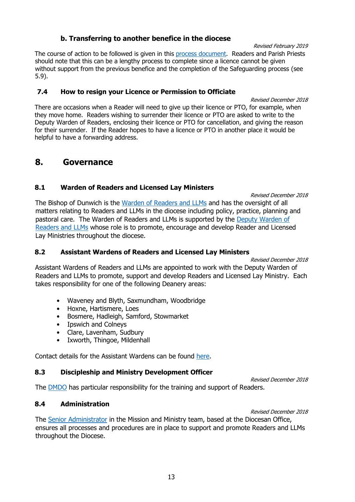#### **b. Transferring to another benefice in the diocese**

The course of action to be followed is given in this [process document.](http://www.cofesuffolk.org/uploads/Benefice_transfer_pro-forma1.docx) Readers and Parish Priests should note that this can be a lengthy process to complete since a licence cannot be given without support from the previous benefice and the completion of the Safeguarding process (see 5.9).

#### <span id="page-14-0"></span>**7.4 How to resign your Licence or Permission to Officiate**

Revised December 2018 There are occasions when a Reader will need to give up their licence or PTO, for example, when they move home. Readers wishing to surrender their licence or PTO are asked to write to the Deputy Warden of Readers, enclosing their licence or PTO for cancellation, and giving the reason for their surrender. If the Reader hopes to have a licence or PTO in another place it would be helpful to have a forwarding address.

## <span id="page-14-1"></span>**8. Governance**

#### **8.1 Warden of Readers and Licensed Lay Ministers**

Revised December 2018

The Bishop of Dunwich is the [Warden of Readers](mailto:bishop.mike@cofesuffolk.org?subject=For%20the%20Warden%20of%20Readers%20and%20LLMs) and LLMs and has the oversight of all matters relating to Readers and LLMs in the diocese including policy, practice, planning and pastoral care. The Warden of Readers and LLMs is supported by the [Deputy Warden of](mailto:deputywarden.readers@cofesuffolk.org)  [Readers and LLMs](mailto:deputywarden.readers@cofesuffolk.org) whose role is to promote, encourage and develop Reader and Licensed Lay Ministries throughout the diocese.

#### **8.2 Assistant Wardens of Readers and Licensed Lay Ministers**

Revised December 2018

Assistant Wardens of Readers and LLMs are appointed to work with the Deputy Warden of Readers and LLMs to promote, support and develop Readers and Licensed Lay Ministry. Each takes responsibility for one of the following Deanery areas:

- Waveney and Blyth, Saxmundham, Woodbridge
- Hoxne, Hartismere, Loes
- Bosmere, Hadleigh, Samford, Stowmarket
- Ipswich and Colneys
- Clare, Lavenham, Sudbury
- Ixworth, Thingoe, Mildenhall

Contact details for the Assistant Wardens can be found [here.](http://www.cofesuffolk.org/exploring-vocation/readers?/ministries/readers)

## **8.3 Discipleship and Ministry Development Officer**

Revised December 2018

The [DMDO](mailto:ruth.dennigan@cofesuffolk.org) has particular responsibility for the training and support of Readers.

## **8.4 Administration**

Revised December 2018

The [Senior Administrator](mailto:lesley.steed@cofesuffolk.org) in the Mission and Ministry team, based at the Diocesan Office, ensures all processes and procedures are in place to support and promote Readers and LLMs throughout the Diocese.

Revised February 2019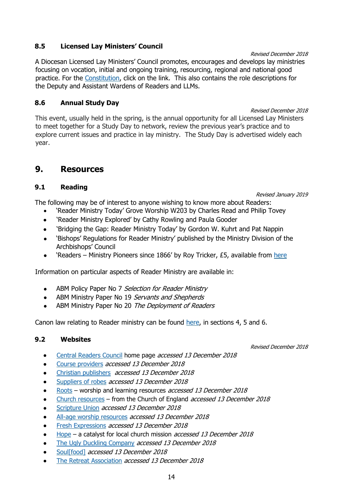## **8.5 Licensed Lay Ministers' Council**

A Diocesan Licensed Lay Ministers' Council promotes, encourages and develops lay ministries focusing on vocation, initial and ongoing training, resourcing, regional and national good practice. For the [Constitution,](http://www.cofesuffolk.org/uploads/Governance.pdf) click on the link. This also contains the role descriptions for the Deputy and Assistant Wardens of Readers and LLMs.

## **8.6 Annual Study Day**

Revised December 2018 This event, usually held in the spring, is the annual opportunity for all Licensed Lay Ministers to meet together for a Study Day to network, review the previous year's practice and to explore current issues and practice in lay ministry. The Study Day is advertised widely each year.

# <span id="page-15-0"></span>**9. Resources**

## **9.1 Reading**

Revised January 2019

The following may be of interest to anyone wishing to know more about Readers:

- 'Reader Ministry Today' Grove Worship W203 by Charles Read and Philip Tovey
- 'Reader Ministry Explored' by Cathy Rowling and Paula Gooder
- 'Bridging the Gap: Reader Ministry Today' by Gordon W. Kuhrt and Pat Nappin
- 'Bishops' Regulations for Reader Ministry' published by the Ministry Division of the Archbishops' Council
- 'Readers Ministry Pioneers since 1866' by Roy Tricker,  $£5$ , available from [here](mailto:lesley.steed@cofesuffolk.org)

Information on particular aspects of Reader Ministry are available in:

- ABM Policy Paper No 7 Selection for Reader Ministry
- ABM Ministry Paper No 19 Servants and Shepherds
- ABM Ministry Paper No 20 The Deployment of Readers

Canon law relating to Reader ministry can be found [here,](https://www.churchofengland.org/more/policy-and-thinking/canons-church-england/section-e) in sections 4, 5 and 6.

## **9.2 Websites**

Revised December 2018

- [Central Readers Council](https://www.readers.cofe.anglican.org/) home page accessed 13 December <sup>2018</sup>
- [Course providers](https://www.readers.cofe.anglican.org/contacts.php?8) accessed 13 December 2018
- [Christian publishers](https://www.readers.cofe.anglican.org/contacts.php?7) accessed 13 December 2018
- [Suppliers of robes](https://www.readers.cofe.anglican.org/contacts.php?9) accessed 13 December 2018
- [Roots](https://www.rootsontheweb.com/) worship and learning resources accessed 13 December 2018
- [Church resources](https://www.churchofengland.org/more/church-resources) from the Church of England *accessed 13 December 2018*
- [Scripture Union](https://content.scriptureunion.org.uk/) accessed 13 December 2018
- [All-age worship resources](http://www.allageworshipresources.org/) accessed 13 December 2018
- [Fresh Expressions](http://freshexpressions.org.uk/) accessed 13 December 2018
- [Hope](https://www.hopetogether.org.uk/) a catalyst for local church mission accessed 13 December 2018
- [The Ugly Duckling Company](http://www.theuglyducklingcompany.com/) accessed 13 December 2018
- [Soul\[food\]](https://www.soulfood.me/) accessed 13 December 2018
- [The Retreat](http://www.retreats.org.uk/) Association accessed 13 December 2018

#### Revised December 2018